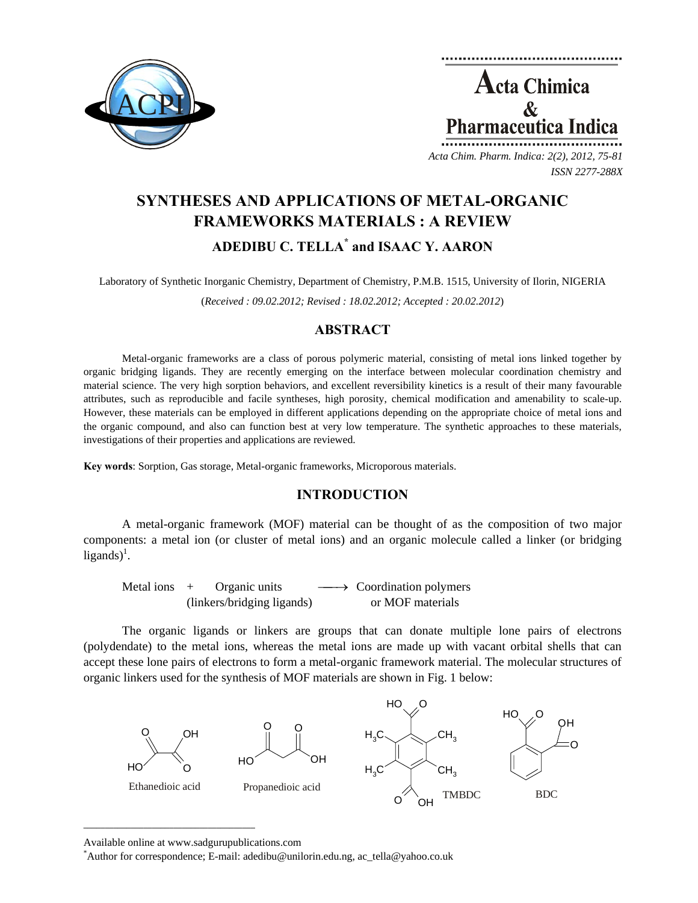

**Acta Chimica**  $\mathcal{R}_{\mathcal{L}}$ Pharmaceutica Ind *Acta Chim. Pharm. Indica: 2(2), 2012, 75-81*

*ISSN 2277-288X*

# **SYNTHESES AND APPLICATIONS OF METAL-ORGANIC FRAMEWORKS MATERIALS : A REVIEW ADEDIBU C. TELLA\* and ISAAC Y. AARON**

Laboratory of Synthetic Inorganic Chemistry, Department of Chemistry, P.M.B. 1515, University of Ilorin, NIGERIA

(*Received : 09.02.2012; Revised : 18.02.2012; Accepted : 20.02.2012*)

# **ABSTRACT**

Metal-organic frameworks are a class of porous polymeric material, consisting of metal ions linked together by organic bridging ligands. They are recently emerging on the interface between molecular coordination chemistry and material science. The very high sorption behaviors, and excellent reversibility kinetics is a result of their many favourable attributes, such as reproducible and facile syntheses, high porosity, chemical modification and amenability to scale-up. However, these materials can be employed in different applications depending on the appropriate choice of metal ions and the organic compound, and also can function best at very low temperature. The synthetic approaches to these materials, investigations of their properties and applications are reviewed.

**Key words**: Sorption, Gas storage, Metal-organic frameworks, Microporous materials.

# **INTRODUCTION**

A metal-organic framework (MOF) material can be thought of as the composition of two major components: a metal ion (or cluster of metal ions) and an organic molecule called a linker (or bridging  $ligands)^{1}$ .

Metal ions  $+$  Organic units  $\longrightarrow$  Coordination polymers (linkers/bridging ligands) or MOF materials

The organic ligands or linkers are groups that can donate multiple lone pairs of electrons (polydendate) to the metal ions, whereas the metal ions are made up with vacant orbital shells that can accept these lone pairs of electrons to form a metal-organic framework material. The molecular structures of organic linkers used for the synthesis of MOF materials are shown in Fig. 1 below:



Available online at www.sadgurupublications.com \*

 $\mathcal{L}=\{1,2,3,4,5\}$ 

Author for correspondence; E-mail: adedibu@unilorin.edu.ng, ac\_tella@yahoo.co.uk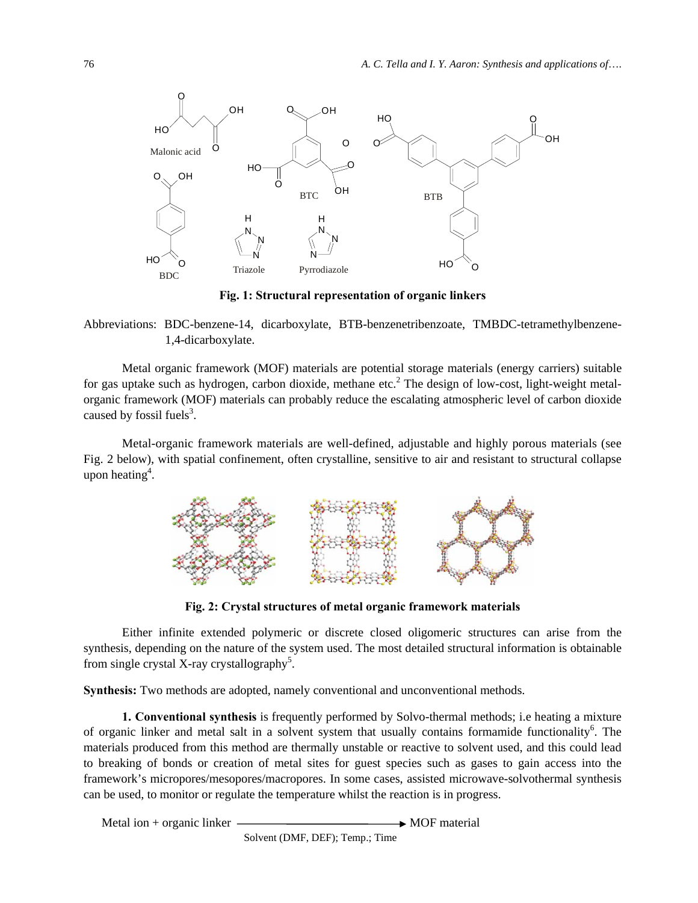

**Fig. 1: Structural representation of organic linkers** 

Abbreviations: BDC-benzene-14, dicarboxylate, BTB-benzenetribenzoate, TMBDC-tetramethylbenzene-1,4-dicarboxylate.

Metal organic framework (MOF) materials are potential storage materials (energy carriers) suitable for gas uptake such as hydrogen, carbon dioxide, methane etc.<sup>2</sup> The design of low-cost, light-weight metalorganic framework (MOF) materials can probably reduce the escalating atmospheric level of carbon dioxide caused by fossil fuels<sup>3</sup>.

Metal-organic framework materials are well-defined, adjustable and highly porous materials (see Fig. 2 below), with spatial confinement, often crystalline, sensitive to air and resistant to structural collapse upon heating<sup>4</sup>.



**Fig. 2: Crystal structures of metal organic framework materials** 

Either infinite extended polymeric or discrete closed oligomeric structures can arise from the synthesis, depending on the nature of the system used. The most detailed structural information is obtainable from single crystal X-ray crystallography<sup>5</sup>.

**Synthesis:** Two methods are adopted, namely conventional and unconventional methods.

**1. Conventional synthesis** is frequently performed by Solvo-thermal methods; i.e heating a mixture of organic linker and metal salt in a solvent system that usually contains formamide functionality<sup>6</sup>. The materials produced from this method are thermally unstable or reactive to solvent used, and this could lead to breaking of bonds or creation of metal sites for guest species such as gases to gain access into the framework's micropores/mesopores/macropores. In some cases, assisted microwave-solvothermal synthesis can be used, to monitor or regulate the temperature whilst the reaction is in progress.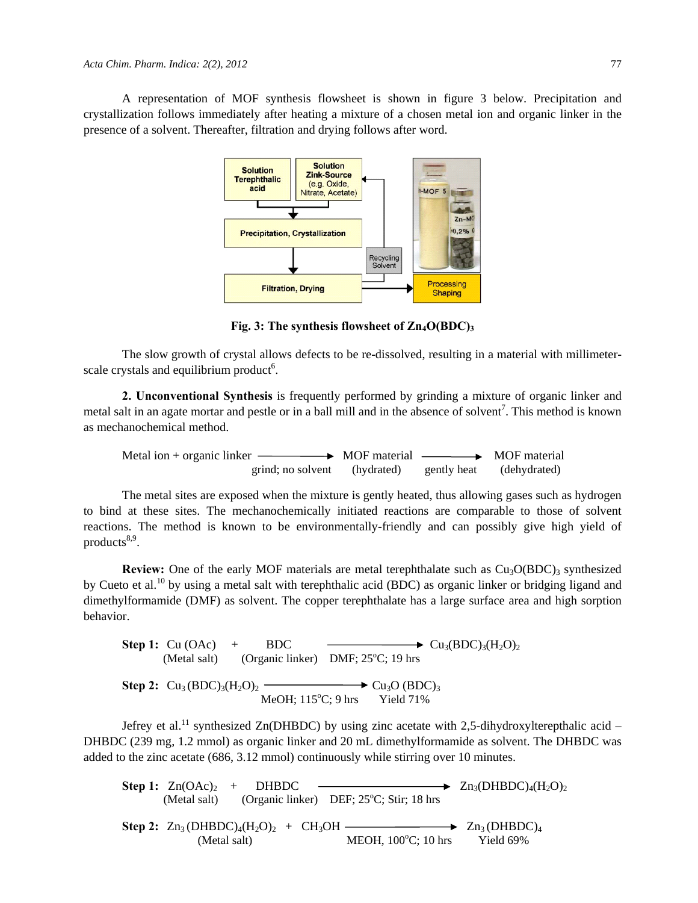A representation of MOF synthesis flowsheet is shown in figure 3 below. Precipitation and crystallization follows immediately after heating a mixture of a chosen metal ion and organic linker in the presence of a solvent. Thereafter, filtration and drying follows after word.



**Fig. 3: The synthesis flowsheet of Zn4O(BDC)3**

The slow growth of crystal allows defects to be re-dissolved, resulting in a material with millimeterscale crystals and equilibrium product<sup>6</sup>.

**2. Unconventional Synthesis** is frequently performed by grinding a mixture of organic linker and metal salt in an agate mortar and pestle or in a ball mill and in the absence of solvent<sup>7</sup>. This method is known as mechanochemical method.

Metal ion + organic linker  $\longrightarrow$  MOF material  $\longrightarrow$  MOF material grind; no solvent (hydrated) gently heat (dehydrated)

The metal sites are exposed when the mixture is gently heated, thus allowing gases such as hydrogen to bind at these sites. The mechanochemically initiated reactions are comparable to those of solvent reactions. The method is known to be environmentally-friendly and can possibly give high yield of products $8,9$ .

**Review:** One of the early MOF materials are metal terephthalate such as  $Cu<sub>3</sub>O(BDC)<sub>3</sub>$  synthesized by Cueto et al.<sup>10</sup> by using a metal salt with terephthalic acid (BDC) as organic linker or bridging ligand and dimethylformamide (DMF) as solvent. The copper terephthalate has a large surface area and high sorption behavior.

**Step 1:**  $Cu (OAc)$  + BDC  $Cu_3(BDC)_3(H_2O)_2$ (Metal salt) (Organic linker) DMF;  $25^{\circ}$ C; 19 hrs **Step 2:**  $Cu_3(BDC)_3(H_2O)_2$   $\longrightarrow$   $Cu_3O(BDC)_3$ MeOH;  $115^{\circ}$ C; 9 hrs Yield 71%

Jefrey et al.<sup>11</sup> synthesized Zn(DHBDC) by using zinc acetate with 2,5-dihydroxylterepthalic acid – DHBDC (239 mg, 1.2 mmol) as organic linker and 20 mL dimethylformamide as solvent. The DHBDC was added to the zinc acetate (686, 3.12 mmol) continuously while stirring over 10 minutes.

| <b>Step 1:</b> $\text{Zn}(\text{OAc})_2$ + DHBDC | $\longrightarrow Zn_3(DHBDC)4(H2O)2$                                                        |           |
|--------------------------------------------------|---------------------------------------------------------------------------------------------|-----------|
|                                                  | (Metal salt) (Organic linker) DEF; 25 <sup>o</sup> C; Stir; 18 hrs                          |           |
| (Metal salt)                                     | Step 2: $Zn_3(DHBDC)_4(H_2O)_2 + CH_3OH$ — $Zn_3(DHBDC)_4$<br>MEOH, $100^{\circ}$ C; 10 hrs | Yield 69% |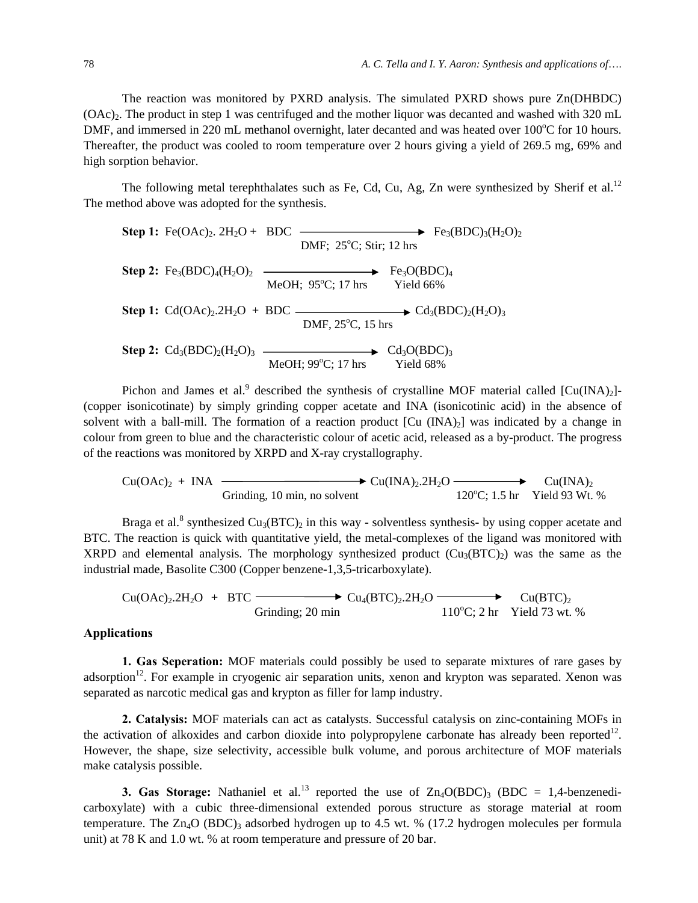The reaction was monitored by PXRD analysis. The simulated PXRD shows pure Zn(DHBDC)  $(OAc)_{2}$ . The product in step 1 was centrifuged and the mother liquor was decanted and washed with 320 mL DMF, and immersed in 220 mL methanol overnight, later decanted and was heated over 100°C for 10 hours. Thereafter, the product was cooled to room temperature over 2 hours giving a yield of 269.5 mg, 69% and high sorption behavior.

The following metal terephthalates such as Fe, Cd, Cu, Ag, Zn were synthesized by Sherif et al.<sup>12</sup> The method above was adopted for the synthesis.

| Step 1: $Fe(OAc)_2$ . $2H_2O + BDC$ | DMF; $25^{\circ}$ C; $Stir$ ; $12 \text{ hrs}$ | $Fe_3(BDC)_3(H_2O)_2$ |
|-------------------------------------|------------------------------------------------|-----------------------|
| Step 2: $Fe_3(BDC)_4(H_2O)_2$       | $Fe_3O(BDC)_4$                                 |                       |
| Step 1: $Cd(OAc)_2.2H_2O + BDC$     | $Cd_3(BDC)_2(H_2O)_3$                          |                       |
| Step 2: $Cd_3(BDC)_2(H_2O)_3$       | $MeOH$ ; $99^{\circ}$ C; $17 \text{ hrs}$      | $Cd_3O(BDC)_3$        |

Pichon and James et al.<sup>9</sup> described the synthesis of crystalline MOF material called  $[Cu(INA)_2]$ -(copper isonicotinate) by simply grinding copper acetate and INA (isonicotinic acid) in the absence of solvent with a ball-mill. The formation of a reaction product  $[Cu (INA)<sub>2</sub>]$  was indicated by a change in colour from green to blue and the characteristic colour of acetic acid, released as a by-product. The progress of the reactions was monitored by XRPD and X-ray crystallography.

$$
Cu(OAc)2 + INA
$$
\n
$$
Cu(INA)2.2H2O
$$
\n
$$
Cu(INA)2
$$
\n
$$
120°C; 1.5 \text{ hr} \quad Yield 93 \text{ Wt. %}
$$

Braga et al.<sup>8</sup> synthesized  $Cu<sub>3</sub>(BTC)<sub>2</sub>$  in this way - solventless synthesis- by using copper acetate and BTC. The reaction is quick with quantitative yield, the metal-complexes of the ligand was monitored with XRPD and elemental analysis. The morphology synthesized product  $(Cu_3(BTC))$  was the same as the industrial made, Basolite C300 (Copper benzene-1,3,5-tricarboxylate).

$$
Cu(OAc)_2.2H_2O + BTC \longrightarrow Cu_4(BTC)_2.2H_2O \longrightarrow Cu(BTC)_2
$$
  
Grinding; 20 min 110°C; 2 hr Yield 73 wt. %

### **Applications**

**1. Gas Seperation:** MOF materials could possibly be used to separate mixtures of rare gases by adsorption<sup>12</sup>. For example in cryogenic air separation units, xenon and krypton was separated. Xenon was separated as narcotic medical gas and krypton as filler for lamp industry.

**2. Catalysis:** MOF materials can act as catalysts. Successful catalysis on zinc-containing MOFs in the activation of alkoxides and carbon dioxide into polypropylene carbonate has already been reported<sup>12</sup>. However, the shape, size selectivity, accessible bulk volume, and porous architecture of MOF materials make catalysis possible.

**3. Gas Storage:** Nathaniel et al.<sup>13</sup> reported the use of  $Zn_4O(BDC)$ <sub>3</sub> (BDC = 1,4-benzenedicarboxylate) with a cubic three-dimensional extended porous structure as storage material at room temperature. The  $Zn_4O$  (BDC)<sub>3</sub> adsorbed hydrogen up to 4.5 wt. % (17.2 hydrogen molecules per formula unit) at 78 K and 1.0 wt. % at room temperature and pressure of 20 bar.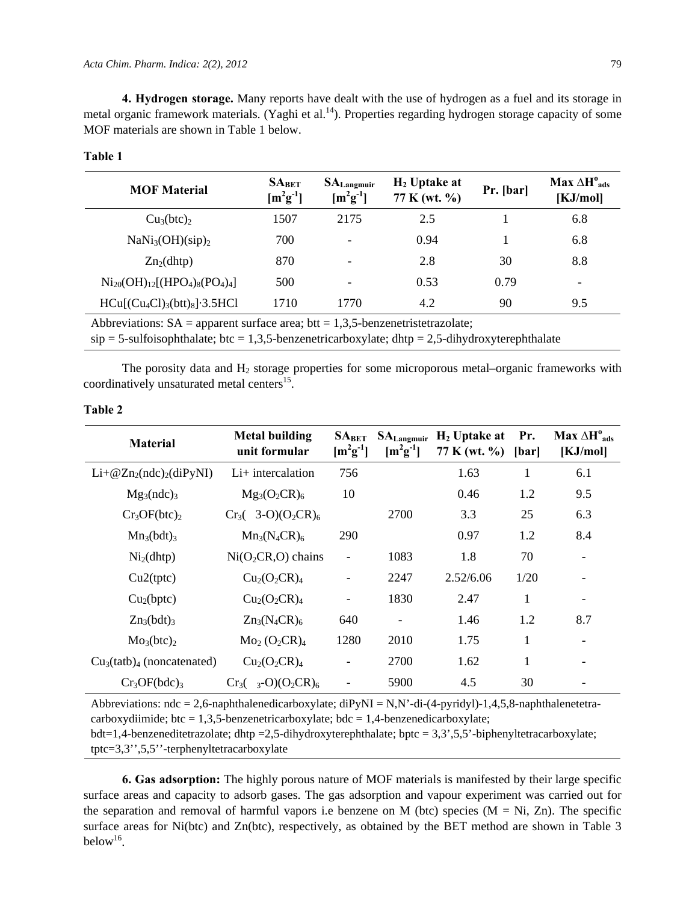**4. Hydrogen storage.** Many reports have dealt with the use of hydrogen as a fuel and its storage in metal organic framework materials. (Yaghi et al.<sup>14</sup>). Properties regarding hydrogen storage capacity of some MOF materials are shown in Table 1 below.

| <b>MOF Material</b>                      | SA <sub>BET</sub><br>$[m^{2}g^{-1}]$ | $\mathbf{SA}_{\text{Langmuir}}$<br>$\left[\text{m}^2\text{g}^{-1}\right]$ | $H_2$ Uptake at<br>77 K (wt. %) | Pr. [bar] | Max $\Delta H^{\circ}_{ads}$<br>[KJ/mol] |
|------------------------------------------|--------------------------------------|---------------------------------------------------------------------------|---------------------------------|-----------|------------------------------------------|
| Cu <sub>3</sub> (btc) <sub>2</sub>       | 1507                                 | 2175                                                                      | 2.5                             |           | 6.8                                      |
| NaNi <sub>3</sub> (OH)(sip) <sub>2</sub> | 700                                  |                                                                           | 0.94                            |           | 6.8                                      |
| $Zn_2(dhtp)$                             | 870                                  | $\overline{\phantom{0}}$                                                  | 2.8                             | 30        | 8.8                                      |
| $Ni_{20}(OH)_{12}[(HPO_4)_8(PO_4)_4]$    | 500                                  | $\overline{\phantom{0}}$                                                  | 0.53                            | 0.79      |                                          |
| $HCu[(Cu_4Cl)_3(btt)_8]\cdot 3.5HCl$     | 1710                                 | 1770                                                                      | 4.2                             | 90        | 9.5                                      |

#### **Table 1**

Abbreviations:  $SA =$  apparent surface area; btt = 1,3,5-benzenetristetrazolate;

 $\sin$  = 5-sulfoisophthalate; btc = 1,3,5-benzenetricarboxylate; dhtp = 2,5-dihydroxyterephthalate

The porosity data and  $H_2$  storage properties for some microporous metal–organic frameworks with coordinatively unsaturated metal centers $^{15}$ .

| ۰,<br>×<br>٠<br>۰.<br>I |  |
|-------------------------|--|
|-------------------------|--|

| <b>Material</b>                      | <b>Metal building</b><br>unit formular | $SA_{BET}$<br>$[m^{2}g^{-1}]$ | $SA_{Langmuir}$<br>$[m^{2}g^{-1}]$ | $H_2$ Uptake at<br>77 K (wt. %) | Pr.<br>[bar] | Max $\Delta H^{\circ}_{ads}$<br>[KJ/mol] |
|--------------------------------------|----------------------------------------|-------------------------------|------------------------------------|---------------------------------|--------------|------------------------------------------|
| $Li+@Zn2(ndc)2(diPyNI)$              | $Li+$ intercalation                    | 756                           |                                    | 1.63                            | 1            | 6.1                                      |
| $Mg_3(ndc)_3$                        | $Mg_3(O_2CR)_6$                        | 10                            |                                    | 0.46                            | 1.2          | 9.5                                      |
| Cr <sub>3</sub> OF(btc) <sub>2</sub> | $Cr_3(3-O)(O_2CR)_6$                   |                               | 2700                               | 3.3                             | 25           | 6.3                                      |
| $Mn_3(bdt)_3$                        | $Mn_3(N_4CR)_6$                        | 290                           |                                    | 0.97                            | 1.2          | 8.4                                      |
| Ni <sub>2</sub> (dhtp)               | $Ni(O2CR, O)$ chains                   |                               | 1083                               | 1.8                             | 70           | $\qquad \qquad -$                        |
| Cu2(tptc)                            | $Cu2(O2CR)4$                           |                               | 2247                               | 2.52/6.06                       | 1/20         |                                          |
| Cu <sub>2</sub> (bptc)               | $Cu2(O2CR)4$                           |                               | 1830                               | 2.47                            | 1            |                                          |
| $Zn_3(bdt)_3$                        | $Zn_3(N_4CR)_6$                        | 640                           |                                    | 1.46                            | 1.2          | 8.7                                      |
| Mo <sub>3</sub> (btc) <sub>2</sub>   | $Mo_{2}(O_{2}CR)_{4}$                  | 1280                          | 2010                               | 1.75                            | 1            |                                          |
| $Cu3(tatb)4$ (noncatenated)          | $Cu2(O2CR)4$                           |                               | 2700                               | 1.62                            | 1            |                                          |
| $Cr_3OF(bdc)_3$                      | $Cr_3(-3-0)(O_2CR)_6$                  |                               | 5900                               | 4.5                             | 30           |                                          |

Abbreviations:  $ndc = 2,6$ -naphthalenedicarboxylate;  $diPyNI = N,N'$ -di-(4-pyridyl)-1,4,5,8-naphthalenetetracarboxydiimide; btc = 1,3,5-benzenetricarboxylate; bdc = 1,4-benzenedicarboxylate;

bdt=1,4-benzeneditetrazolate; dhtp =2,5-dihydroxyterephthalate; bptc = 3,3',5,5'-biphenyltetracarboxylate; tptc=3,3'',5,5''-terphenyltetracarboxylate

**6. Gas adsorption:** The highly porous nature of MOF materials is manifested by their large specific surface areas and capacity to adsorb gases. The gas adsorption and vapour experiment was carried out for the separation and removal of harmful vapors i.e benzene on M (btc) species  $(M = Ni, Zn)$ . The specific surface areas for Ni(btc) and Zn(btc), respectively, as obtained by the BET method are shown in Table 3 below<sup>16</sup>.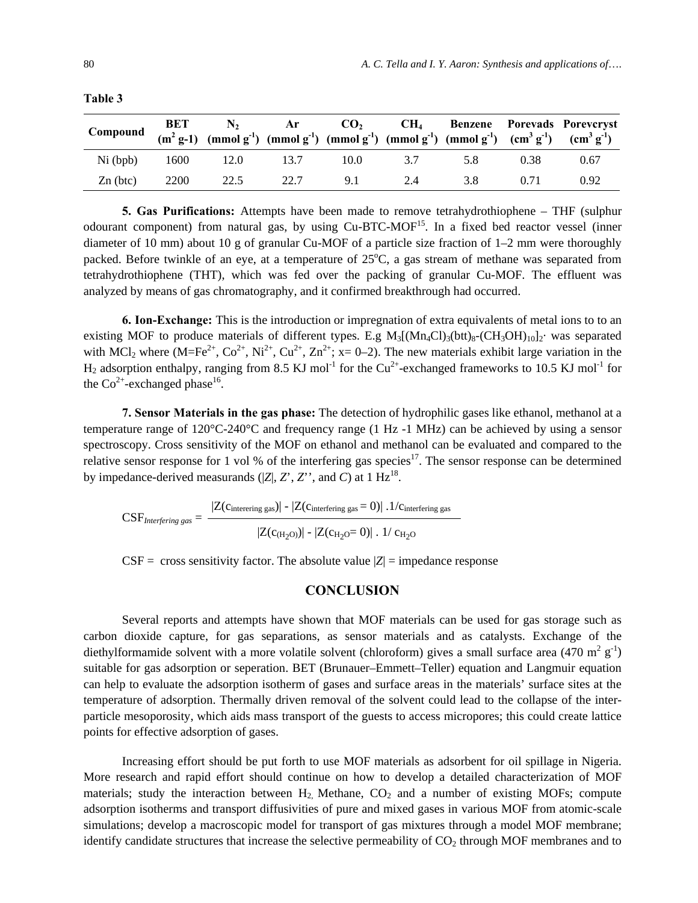| Compound BET $N_2$ Ar $CO_2$ CH <sub>4</sub> Benzene Porevads Porevcryst<br>$(m^2g-1)$ (mmol g <sup>-1</sup> ) (mmol g <sup>-1</sup> ) (mmol g <sup>-1</sup> ) (mmol g <sup>-1</sup> ) (mmol g <sup>-1</sup> ) (mmol g <sup>-1</sup> ) (cm <sup>3</sup> g <sup>-1</sup> ) (cm <sup>3</sup> g <sup>-1</sup> ) |  |      |     |     |                                      |      |      |
|--------------------------------------------------------------------------------------------------------------------------------------------------------------------------------------------------------------------------------------------------------------------------------------------------------------|--|------|-----|-----|--------------------------------------|------|------|
|                                                                                                                                                                                                                                                                                                              |  |      |     |     | Ni (bpb) 1600 12.0 13.7 10.0 3.7 5.8 | 0.38 | 0.67 |
| $Zn$ (btc) $2200$ $22.5$                                                                                                                                                                                                                                                                                     |  | 22.7 | 9.1 | 2.4 | 3.8                                  | 0.71 | 0.92 |

**Table 3** 

**5. Gas Purifications:** Attempts have been made to remove tetrahydrothiophene – THF (sulphur odourant component) from natural gas, by using Cu-BTC-MOF<sup>15</sup>. In a fixed bed reactor vessel (inner diameter of 10 mm) about 10 g of granular Cu-MOF of a particle size fraction of 1–2 mm were thoroughly packed. Before twinkle of an eye, at a temperature of  $25^{\circ}$ C, a gas stream of methane was separated from tetrahydrothiophene (THT), which was fed over the packing of granular Cu-MOF. The effluent was analyzed by means of gas chromatography, and it confirmed breakthrough had occurred.

**6. Ion-Exchange:** This is the introduction or impregnation of extra equivalents of metal ions to to an existing MOF to produce materials of different types. E.g  $M_3$ [(Mn<sub>4</sub>Cl)<sub>3</sub>(btt)<sub>8</sub>-(CH<sub>3</sub>OH)<sub>10</sub>]<sub>2</sub>· was separated with MCl<sub>2</sub> where (M=Fe<sup>2+</sup>, Co<sup>2+</sup>, Ni<sup>2+</sup>, Cu<sup>2+</sup>, Zn<sup>2+</sup>; x= 0–2). The new materials exhibit large variation in the  $H_2$  adsorption enthalpy, ranging from 8.5 KJ mol<sup>-1</sup> for the Cu<sup>2+</sup>-exchanged frameworks to 10.5 KJ mol<sup>-1</sup> for the  $Co^{2+}$ -exchanged phase<sup>16</sup>.

**7. Sensor Materials in the gas phase:** The detection of hydrophilic gases like ethanol, methanol at a temperature range of 120°C-240°C and frequency range (1 Hz -1 MHz) can be achieved by using a sensor spectroscopy. Cross sensitivity of the MOF on ethanol and methanol can be evaluated and compared to the relative sensor response for 1 vol % of the interfering gas species<sup>17</sup>. The sensor response can be determined by impedance-derived measurands  $(|Z|, Z, Z'$ , and *C*) at 1 Hz<sup>18</sup>.

$$
CSF_{Interfering\ gas} = \frac{|Z(c_{interfering\ gas})| - |Z(c_{interfering\ gas} = 0)| \ .1/c_{interfering\ gas}}{|Z(c_{H_2O})| - |Z(c_{H_2O} = 0)| \ .1/ \ c_{H_2O}}
$$

 $CSF = \csc s$  sensitivity factor. The absolute value  $|Z| = \text{impedance response}$ 

#### **CONCLUSION**

Several reports and attempts have shown that MOF materials can be used for gas storage such as carbon dioxide capture, for gas separations, as sensor materials and as catalysts. Exchange of the diethylformamide solvent with a more volatile solvent (chloroform) gives a small surface area (470 m<sup>2</sup> g<sup>-1</sup>) suitable for gas adsorption or seperation. BET (Brunauer–Emmett–Teller) equation and Langmuir equation can help to evaluate the adsorption isotherm of gases and surface areas in the materials' surface sites at the temperature of adsorption. Thermally driven removal of the solvent could lead to the collapse of the interparticle mesoporosity, which aids mass transport of the guests to access micropores; this could create lattice points for effective adsorption of gases.

Increasing effort should be put forth to use MOF materials as adsorbent for oil spillage in Nigeria. More research and rapid effort should continue on how to develop a detailed characterization of MOF materials; study the interaction between  $H_2$  Methane,  $CO_2$  and a number of existing MOFs; compute adsorption isotherms and transport diffusivities of pure and mixed gases in various MOF from atomic-scale simulations; develop a macroscopic model for transport of gas mixtures through a model MOF membrane; identify candidate structures that increase the selective permeability of  $CO<sub>2</sub>$  through MOF membranes and to